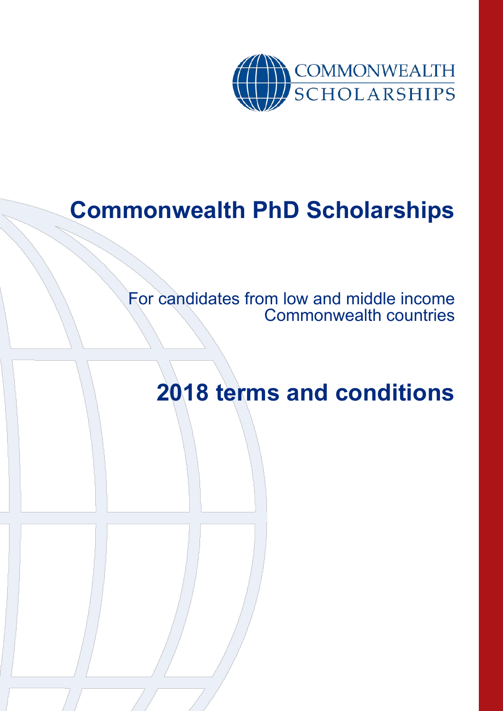

# **Commonwealth PhD Scholarships**

For candidates from low and middle income Commonwealth countries

**2018 terms and conditions**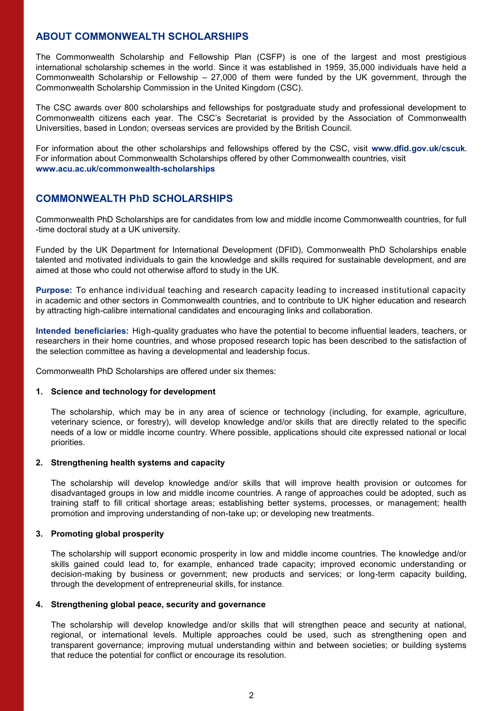## **ABOUT COMMONWEALTH SCHOLARSHIPS**

The Commonwealth Scholarship and Fellowship Plan (CSFP) is one of the largest and most prestigious international scholarship schemes in the world. Since it was established in 1959, 35,000 individuals have held a Commonwealth Scholarship or Fellowship – 27,000 of them were funded by the UK government, through the Commonwealth Scholarship Commission in the United Kingdom (CSC).

The CSC awards over 800 scholarships and fellowships for postgraduate study and professional development to Commonwealth citizens each year. The CSC's Secretariat is provided by the Association of Commonwealth Universities, based in London; overseas services are provided by the British Council.

For information about the other scholarships and fellowships offered by the CSC, visit **www.dfid.gov.uk/cscuk**. For information about Commonwealth Scholarships offered by other Commonwealth countries, visit **www.acu.ac.uk/commonwealth-scholarships** 

## **COMMONWEALTH PhD SCHOLARSHIPS**

Commonwealth PhD Scholarships are for candidates from low and middle income Commonwealth countries, for full -time doctoral study at a UK university.

Funded by the UK Department for International Development (DFID), Commonwealth PhD Scholarships enable talented and motivated individuals to gain the knowledge and skills required for sustainable development, and are aimed at those who could not otherwise afford to study in the UK.

**Purpose:** To enhance individual teaching and research capacity leading to increased institutional capacity in academic and other sectors in Commonwealth countries, and to contribute to UK higher education and research by attracting high-calibre international candidates and encouraging links and collaboration.

**Intended beneficiaries:** High-quality graduates who have the potential to become influential leaders, teachers, or researchers in their home countries, and whose proposed research topic has been described to the satisfaction of the selection committee as having a developmental and leadership focus.

Commonwealth PhD Scholarships are offered under six themes:

#### **1. Science and technology for development**

The scholarship, which may be in any area of science or technology (including, for example, agriculture, veterinary science, or forestry), will develop knowledge and/or skills that are directly related to the specific needs of a low or middle income country. Where possible, applications should cite expressed national or local priorities.

### **2. Strengthening health systems and capacity**

The scholarship will develop knowledge and/or skills that will improve health provision or outcomes for disadvantaged groups in low and middle income countries. A range of approaches could be adopted, such as training staff to fill critical shortage areas; establishing better systems, processes, or management; health promotion and improving understanding of non-take up; or developing new treatments.

### **3. Promoting global prosperity**

The scholarship will support economic prosperity in low and middle income countries. The knowledge and/or skills gained could lead to, for example, enhanced trade capacity; improved economic understanding or decision-making by business or government; new products and services; or long-term capacity building, through the development of entrepreneurial skills, for instance.

#### **4. Strengthening global peace, security and governance**

The scholarship will develop knowledge and/or skills that will strengthen peace and security at national, regional, or international levels. Multiple approaches could be used, such as strengthening open and transparent governance; improving mutual understanding within and between societies; or building systems that reduce the potential for conflict or encourage its resolution.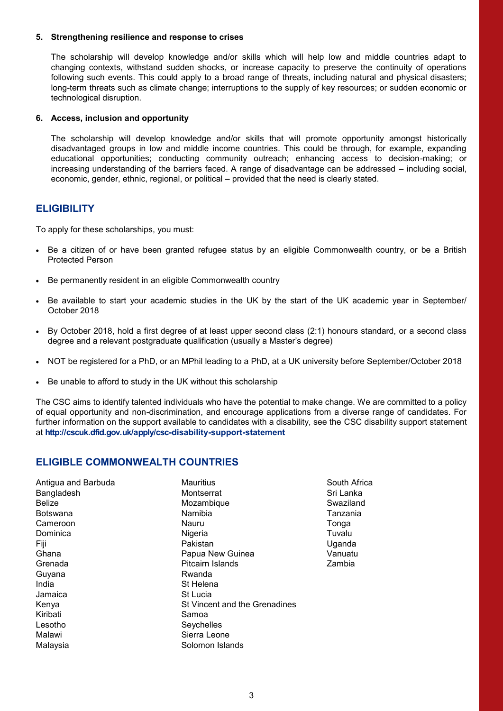#### **5. Strengthening resilience and response to crises**

The scholarship will develop knowledge and/or skills which will help low and middle countries adapt to changing contexts, withstand sudden shocks, or increase capacity to preserve the continuity of operations following such events. This could apply to a broad range of threats, including natural and physical disasters; long-term threats such as climate change; interruptions to the supply of key resources; or sudden economic or technological disruption.

#### **6. Access, inclusion and opportunity**

The scholarship will develop knowledge and/or skills that will promote opportunity amongst historically disadvantaged groups in low and middle income countries. This could be through, for example, expanding educational opportunities; conducting community outreach; enhancing access to decision-making; or increasing understanding of the barriers faced. A range of disadvantage can be addressed – including social, economic, gender, ethnic, regional, or political – provided that the need is clearly stated.

## **ELIGIBILITY**

To apply for these scholarships, you must:

- Be a citizen of or have been granted refugee status by an eligible Commonwealth country, or be a British Protected Person
- Be permanently resident in an eligible Commonwealth country
- Be available to start your academic studies in the UK by the start of the UK academic year in September/ October 2018
- By October 2018, hold a first degree of at least upper second class (2:1) honours standard, or a second class degree and a relevant postgraduate qualification (usually a Master's degree)
- NOT be registered for a PhD, or an MPhil leading to a PhD, at a UK university before September/October 2018
- Be unable to afford to study in the UK without this scholarship

The CSC aims to identify talented individuals who have the potential to make change. We are committed to a policy of equal opportunity and non-discrimination, and encourage applications from a diverse range of candidates. For further information on the support available to candidates with a disability, see the CSC disability support statement at **http://cscuk.dfid.gov.uk/apply/csc-disability-support-statement**

## **ELIGIBLE COMMONWEALTH COUNTRIES**

Antigua and Barbuda Bangladesh **Belize** Botswana Cameroon Dominica Fiji Ghana Grenada Guyana India Jamaica Kenya Kiribati Lesotho Malawi Malaysia

**Mauritius Montserrat** Mozambique Namibia Nauru **Nigeria** Pakistan Papua New Guinea Pitcairn Islands Rwanda St Helena St Lucia St Vincent and the Grenadines Samoa **Sevchelles** Sierra Leone Solomon Islands

South Africa Sri Lanka Swaziland Tanzania Tonga Tuvalu Uganda Vanuatu Zambia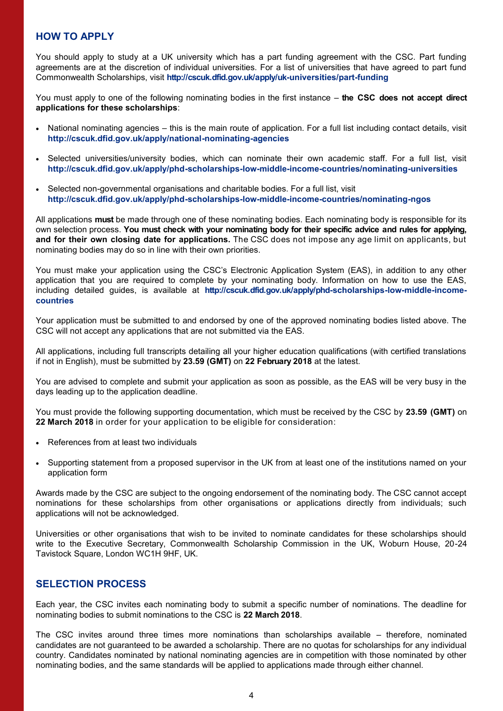## **HOW TO APPLY**

You should apply to study at a UK university which has a part funding agreement with the CSC. Part funding agreements are at the discretion of individual universities. For a list of universities that have agreed to part fund Commonwealth Scholarships, visit **http://cscuk.dfid.gov.uk/apply/uk-universities/part-funding**

You must apply to one of the following nominating bodies in the first instance – **the CSC does not accept direct applications for these scholarships**:

- National nominating agencies this is the main route of application. For a full list including contact details, visit **http://cscuk.dfid.gov.uk/apply/national-nominating-agencies**
- Selected universities/university bodies, which can nominate their own academic staff. For a full list, visit **http://cscuk.dfid.gov.uk/apply/phd-scholarships-low-middle-income-countries/nominating-universities**
- Selected non-governmental organisations and charitable bodies. For a full list, visit **http://cscuk.dfid.gov.uk/apply/phd-scholarships-low-middle-income-countries/nominating-ngos**

All applications **must** be made through one of these nominating bodies. Each nominating body is responsible for its own selection process. **You must check with your nominating body for their specific advice and rules for applying, and for their own closing date for applications.** The CSC does not impose any age limit on applicants, but nominating bodies may do so in line with their own priorities.

You must make your application using the CSC's Electronic Application System (EAS), in addition to any other application that you are required to complete by your nominating body. Information on how to use the EAS, including detailed guides, is available at **http://cscuk.dfid.gov.uk/apply/phd-scholarships-low-middle-incomecountries**

Your application must be submitted to and endorsed by one of the approved nominating bodies listed above. The CSC will not accept any applications that are not submitted via the EAS.

All applications, including full transcripts detailing all your higher education qualifications (with certified translations if not in English), must be submitted by **23.59 (GMT)** on **22 February 2018** at the latest.

You are advised to complete and submit your application as soon as possible, as the EAS will be very busy in the days leading up to the application deadline.

You must provide the following supporting documentation, which must be received by the CSC by **23.59 (GMT)** on **22 March 2018** in order for your application to be eligible for consideration:

- References from at least two individuals
- Supporting statement from a proposed supervisor in the UK from at least one of the institutions named on your application form

Awards made by the CSC are subject to the ongoing endorsement of the nominating body. The CSC cannot accept nominations for these scholarships from other organisations or applications directly from individuals; such applications will not be acknowledged.

Universities or other organisations that wish to be invited to nominate candidates for these scholarships should write to the Executive Secretary, Commonwealth Scholarship Commission in the UK, Woburn House, 20-24 Tavistock Square, London WC1H 9HF, UK.

## **SELECTION PROCESS**

Each year, the CSC invites each nominating body to submit a specific number of nominations. The deadline for nominating bodies to submit nominations to the CSC is **22 March 2018**.

The CSC invites around three times more nominations than scholarships available – therefore, nominated candidates are not guaranteed to be awarded a scholarship. There are no quotas for scholarships for any individual country. Candidates nominated by national nominating agencies are in competition with those nominated by other nominating bodies, and the same standards will be applied to applications made through either channel.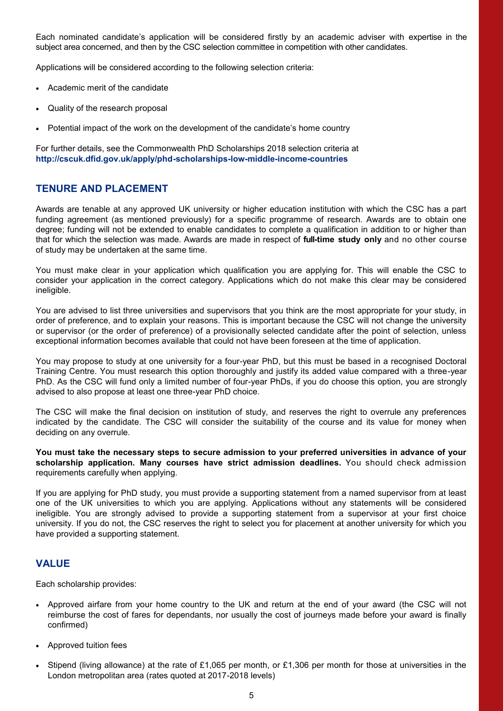Each nominated candidate's application will be considered firstly by an academic adviser with expertise in the subject area concerned, and then by the CSC selection committee in competition with other candidates.

Applications will be considered according to the following selection criteria:

- Academic merit of the candidate
- Quality of the research proposal
- Potential impact of the work on the development of the candidate's home country

For further details, see the Commonwealth PhD Scholarships 2018 selection criteria at **http://cscuk.dfid.gov.uk/apply/phd-scholarships-low-middle-income-countries**

## **TENURE AND PLACEMENT**

Awards are tenable at any approved UK university or higher education institution with which the CSC has a part funding agreement (as mentioned previously) for a specific programme of research. Awards are to obtain one degree; funding will not be extended to enable candidates to complete a qualification in addition to or higher than that for which the selection was made. Awards are made in respect of **full-time study only** and no other course of study may be undertaken at the same time.

You must make clear in your application which qualification you are applying for. This will enable the CSC to consider your application in the correct category. Applications which do not make this clear may be considered ineligible.

You are advised to list three universities and supervisors that you think are the most appropriate for your study, in order of preference, and to explain your reasons. This is important because the CSC will not change the university or supervisor (or the order of preference) of a provisionally selected candidate after the point of selection, unless exceptional information becomes available that could not have been foreseen at the time of application.

You may propose to study at one university for a four-year PhD, but this must be based in a recognised Doctoral Training Centre. You must research this option thoroughly and justify its added value compared with a three-year PhD. As the CSC will fund only a limited number of four-year PhDs, if you do choose this option, you are strongly advised to also propose at least one three-year PhD choice.

The CSC will make the final decision on institution of study, and reserves the right to overrule any preferences indicated by the candidate. The CSC will consider the suitability of the course and its value for money when deciding on any overrule.

**You must take the necessary steps to secure admission to your preferred universities in advance of your scholarship application. Many courses have strict admission deadlines.** You should check admission requirements carefully when applying.

If you are applying for PhD study, you must provide a supporting statement from a named supervisor from at least one of the UK universities to which you are applying. Applications without any statements will be considered ineligible. You are strongly advised to provide a supporting statement from a supervisor at your first choice university. If you do not, the CSC reserves the right to select you for placement at another university for which you have provided a supporting statement.

### **VALUE**

Each scholarship provides:

- Approved airfare from your home country to the UK and return at the end of your award (the CSC will not reimburse the cost of fares for dependants, nor usually the cost of journeys made before your award is finally confirmed)
- Approved tuition fees
- Stipend (living allowance) at the rate of £1,065 per month, or £1,306 per month for those at universities in the London metropolitan area (rates quoted at 2017-2018 levels)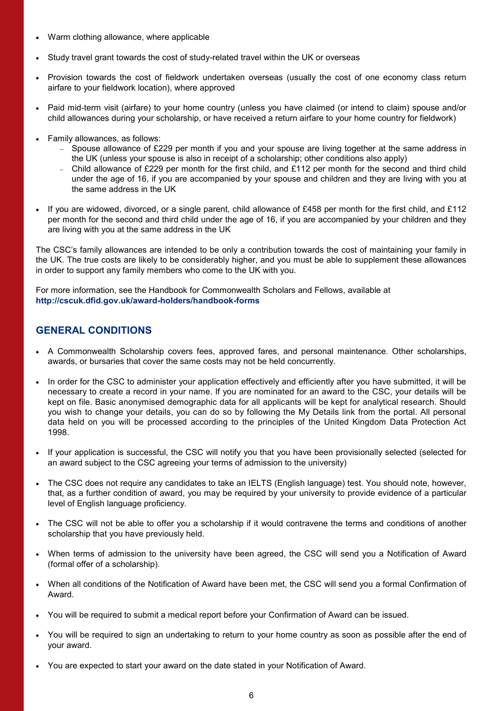- Warm clothing allowance, where applicable
- Study travel grant towards the cost of study-related travel within the UK or overseas
- Provision towards the cost of fieldwork undertaken overseas (usually the cost of one economy class return airfare to your fieldwork location), where approved
- Paid mid-term visit (airfare) to your home country (unless you have claimed (or intend to claim) spouse and/or child allowances during your scholarship, or have received a return airfare to your home country for fieldwork)
- Family allowances, as follows:
	- $-$  Spouse allowance of £229 per month if you and your spouse are living together at the same address in the UK (unless your spouse is also in receipt of a scholarship; other conditions also apply)
	- Child allowance of £229 per month for the first child, and £112 per month for the second and third child under the age of 16, if you are accompanied by your spouse and children and they are living with you at the same address in the UK
- If you are widowed, divorced, or a single parent, child allowance of £458 per month for the first child, and £112 per month for the second and third child under the age of 16, if you are accompanied by your children and they are living with you at the same address in the UK

The CSC's family allowances are intended to be only a contribution towards the cost of maintaining your family in the UK. The true costs are likely to be considerably higher, and you must be able to supplement these allowances in order to support any family members who come to the UK with you.

For more information, see the Handbook for Commonwealth Scholars and Fellows, available at **http://cscuk.dfid.gov.uk/award-holders/handbook-forms** 

# **GENERAL CONDITIONS**

- A Commonwealth Scholarship covers fees, approved fares, and personal maintenance. Other scholarships, awards, or bursaries that cover the same costs may not be held concurrently.
- In order for the CSC to administer your application effectively and efficiently after you have submitted, it will be necessary to create a record in your name. If you are nominated for an award to the CSC, your details will be kept on file. Basic anonymised demographic data for all applicants will be kept for analytical research. Should you wish to change your details, you can do so by following the My Details link from the portal. All personal data held on you will be processed according to the principles of the United Kingdom Data Protection Act 1998.
- If your application is successful, the CSC will notify you that you have been provisionally selected (selected for an award subject to the CSC agreeing your terms of admission to the university)
- The CSC does not require any candidates to take an IELTS (English language) test. You should note, however, that, as a further condition of award, you may be required by your university to provide evidence of a particular level of English language proficiency.
- The CSC will not be able to offer you a scholarship if it would contravene the terms and conditions of another scholarship that you have previously held.
- When terms of admission to the university have been agreed, the CSC will send you a Notification of Award (formal offer of a scholarship).
- When all conditions of the Notification of Award have been met, the CSC will send you a formal Confirmation of Award.
- You will be required to submit a medical report before your Confirmation of Award can be issued.
- You will be required to sign an undertaking to return to your home country as soon as possible after the end of your award.
- You are expected to start your award on the date stated in your Notification of Award.